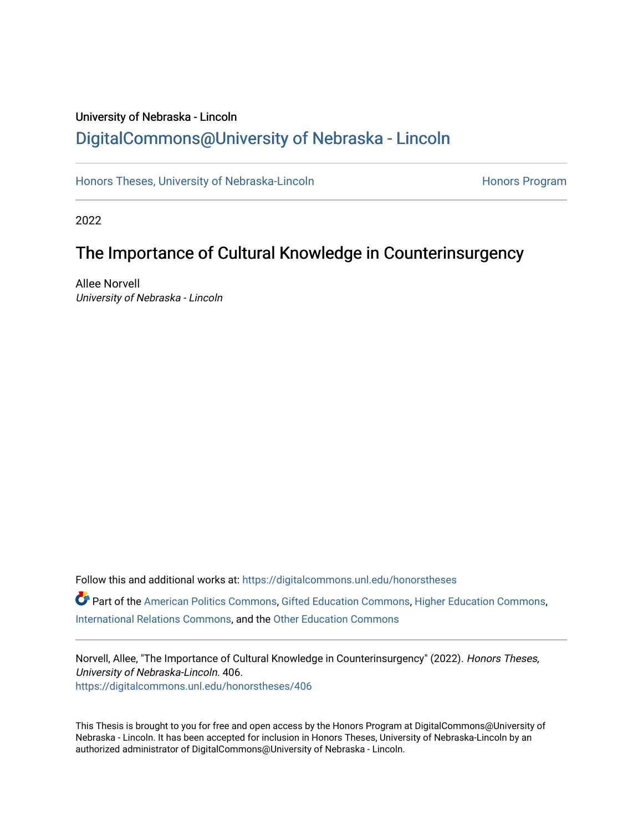# University of Nebraska - Lincoln [DigitalCommons@University of Nebraska - Lincoln](https://digitalcommons.unl.edu/)

[Honors Theses, University of Nebraska-Lincoln](https://digitalcommons.unl.edu/honorstheses) **Honors Program** Honors Program

2022

# The Importance of Cultural Knowledge in Counterinsurgency

Allee Norvell University of Nebraska - Lincoln

Follow this and additional works at: [https://digitalcommons.unl.edu/honorstheses](https://digitalcommons.unl.edu/honorstheses?utm_source=digitalcommons.unl.edu%2Fhonorstheses%2F406&utm_medium=PDF&utm_campaign=PDFCoverPages) Part of the [American Politics Commons,](http://network.bepress.com/hgg/discipline/387?utm_source=digitalcommons.unl.edu%2Fhonorstheses%2F406&utm_medium=PDF&utm_campaign=PDFCoverPages) [Gifted Education Commons,](http://network.bepress.com/hgg/discipline/1048?utm_source=digitalcommons.unl.edu%2Fhonorstheses%2F406&utm_medium=PDF&utm_campaign=PDFCoverPages) [Higher Education Commons,](http://network.bepress.com/hgg/discipline/1245?utm_source=digitalcommons.unl.edu%2Fhonorstheses%2F406&utm_medium=PDF&utm_campaign=PDFCoverPages) [International Relations Commons](http://network.bepress.com/hgg/discipline/389?utm_source=digitalcommons.unl.edu%2Fhonorstheses%2F406&utm_medium=PDF&utm_campaign=PDFCoverPages), and the [Other Education Commons](http://network.bepress.com/hgg/discipline/811?utm_source=digitalcommons.unl.edu%2Fhonorstheses%2F406&utm_medium=PDF&utm_campaign=PDFCoverPages)

Norvell, Allee, "The Importance of Cultural Knowledge in Counterinsurgency" (2022). Honors Theses, University of Nebraska-Lincoln. 406. [https://digitalcommons.unl.edu/honorstheses/406](https://digitalcommons.unl.edu/honorstheses/406?utm_source=digitalcommons.unl.edu%2Fhonorstheses%2F406&utm_medium=PDF&utm_campaign=PDFCoverPages)

This Thesis is brought to you for free and open access by the Honors Program at DigitalCommons@University of Nebraska - Lincoln. It has been accepted for inclusion in Honors Theses, University of Nebraska-Lincoln by an authorized administrator of DigitalCommons@University of Nebraska - Lincoln.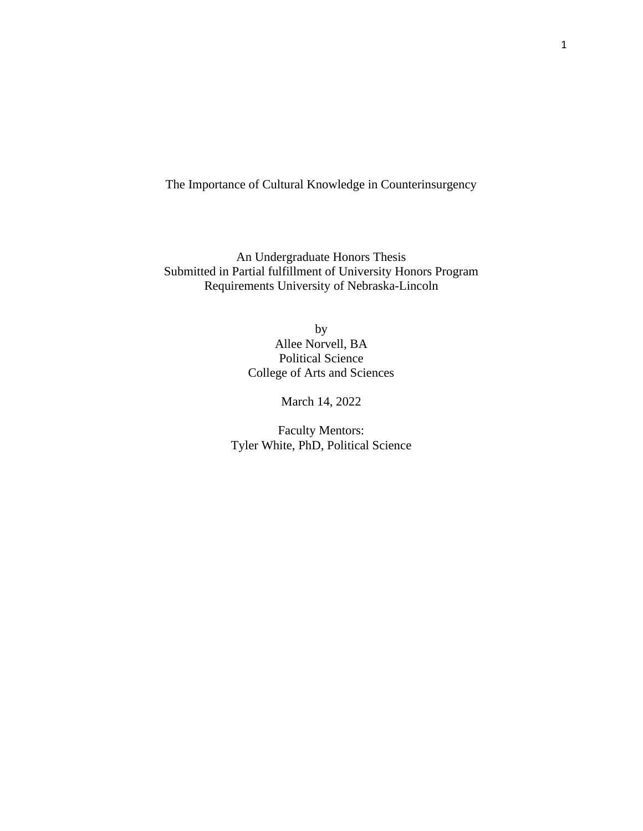The Importance of Cultural Knowledge in Counterinsurgency

An Undergraduate Honors Thesis Submitted in Partial fulfillment of University Honors Program Requirements University of Nebraska-Lincoln

> by Allee Norvell, BA Political Science College of Arts and Sciences

> > March 14, 2022

Faculty Mentors: Tyler White, PhD, Political Science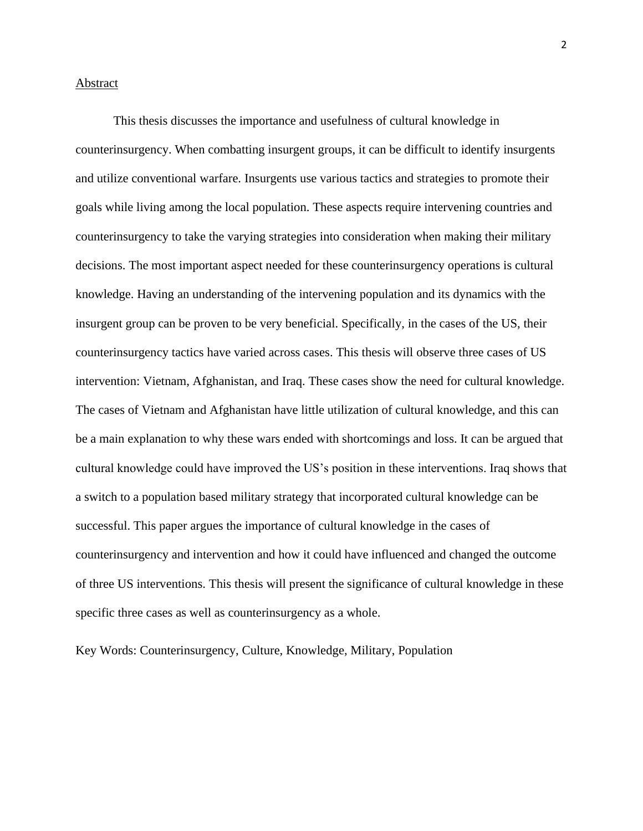### Abstract

This thesis discusses the importance and usefulness of cultural knowledge in counterinsurgency. When combatting insurgent groups, it can be difficult to identify insurgents and utilize conventional warfare. Insurgents use various tactics and strategies to promote their goals while living among the local population. These aspects require intervening countries and counterinsurgency to take the varying strategies into consideration when making their military decisions. The most important aspect needed for these counterinsurgency operations is cultural knowledge. Having an understanding of the intervening population and its dynamics with the insurgent group can be proven to be very beneficial. Specifically, in the cases of the US, their counterinsurgency tactics have varied across cases. This thesis will observe three cases of US intervention: Vietnam, Afghanistan, and Iraq. These cases show the need for cultural knowledge. The cases of Vietnam and Afghanistan have little utilization of cultural knowledge, and this can be a main explanation to why these wars ended with shortcomings and loss. It can be argued that cultural knowledge could have improved the US's position in these interventions. Iraq shows that a switch to a population based military strategy that incorporated cultural knowledge can be successful. This paper argues the importance of cultural knowledge in the cases of counterinsurgency and intervention and how it could have influenced and changed the outcome of three US interventions. This thesis will present the significance of cultural knowledge in these specific three cases as well as counterinsurgency as a whole.

Key Words: Counterinsurgency, Culture, Knowledge, Military, Population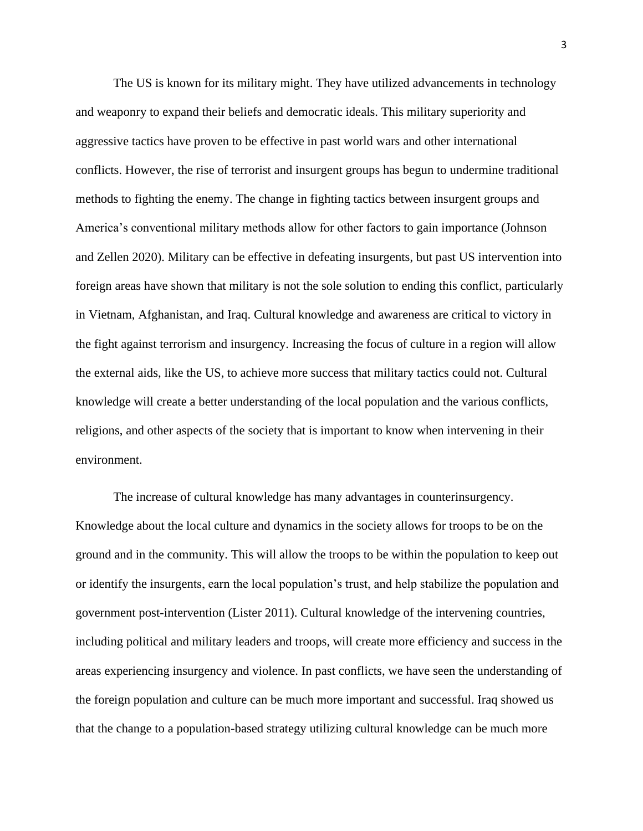The US is known for its military might. They have utilized advancements in technology and weaponry to expand their beliefs and democratic ideals. This military superiority and aggressive tactics have proven to be effective in past world wars and other international conflicts. However, the rise of terrorist and insurgent groups has begun to undermine traditional methods to fighting the enemy. The change in fighting tactics between insurgent groups and America's conventional military methods allow for other factors to gain importance (Johnson and Zellen 2020). Military can be effective in defeating insurgents, but past US intervention into foreign areas have shown that military is not the sole solution to ending this conflict, particularly in Vietnam, Afghanistan, and Iraq. Cultural knowledge and awareness are critical to victory in the fight against terrorism and insurgency. Increasing the focus of culture in a region will allow the external aids, like the US, to achieve more success that military tactics could not. Cultural knowledge will create a better understanding of the local population and the various conflicts, religions, and other aspects of the society that is important to know when intervening in their environment.

The increase of cultural knowledge has many advantages in counterinsurgency. Knowledge about the local culture and dynamics in the society allows for troops to be on the ground and in the community. This will allow the troops to be within the population to keep out or identify the insurgents, earn the local population's trust, and help stabilize the population and government post-intervention (Lister 2011). Cultural knowledge of the intervening countries, including political and military leaders and troops, will create more efficiency and success in the areas experiencing insurgency and violence. In past conflicts, we have seen the understanding of the foreign population and culture can be much more important and successful. Iraq showed us that the change to a population-based strategy utilizing cultural knowledge can be much more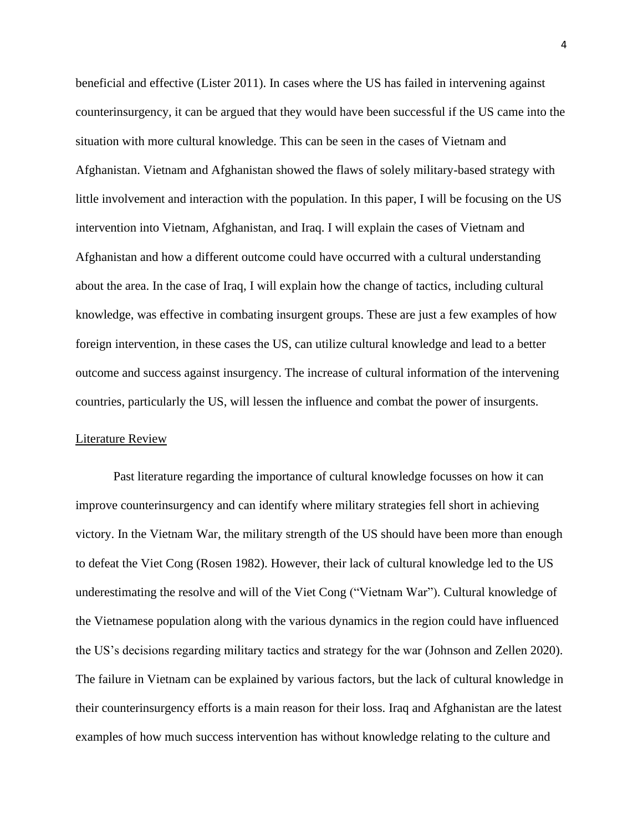beneficial and effective (Lister 2011). In cases where the US has failed in intervening against counterinsurgency, it can be argued that they would have been successful if the US came into the situation with more cultural knowledge. This can be seen in the cases of Vietnam and Afghanistan. Vietnam and Afghanistan showed the flaws of solely military-based strategy with little involvement and interaction with the population. In this paper, I will be focusing on the US intervention into Vietnam, Afghanistan, and Iraq. I will explain the cases of Vietnam and Afghanistan and how a different outcome could have occurred with a cultural understanding about the area. In the case of Iraq, I will explain how the change of tactics, including cultural knowledge, was effective in combating insurgent groups. These are just a few examples of how foreign intervention, in these cases the US, can utilize cultural knowledge and lead to a better outcome and success against insurgency. The increase of cultural information of the intervening countries, particularly the US, will lessen the influence and combat the power of insurgents.

## Literature Review

Past literature regarding the importance of cultural knowledge focusses on how it can improve counterinsurgency and can identify where military strategies fell short in achieving victory. In the Vietnam War, the military strength of the US should have been more than enough to defeat the Viet Cong (Rosen 1982). However, their lack of cultural knowledge led to the US underestimating the resolve and will of the Viet Cong ("Vietnam War"). Cultural knowledge of the Vietnamese population along with the various dynamics in the region could have influenced the US's decisions regarding military tactics and strategy for the war (Johnson and Zellen 2020). The failure in Vietnam can be explained by various factors, but the lack of cultural knowledge in their counterinsurgency efforts is a main reason for their loss. Iraq and Afghanistan are the latest examples of how much success intervention has without knowledge relating to the culture and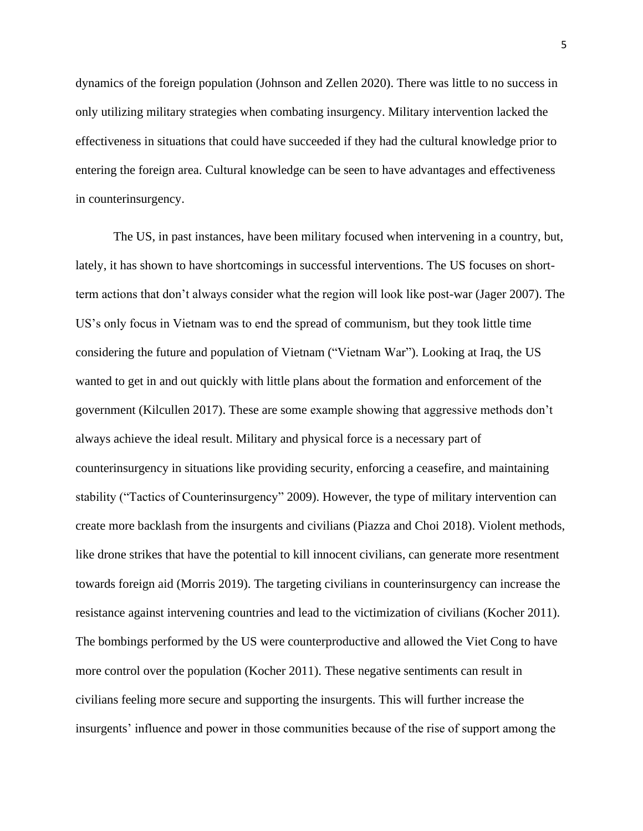dynamics of the foreign population (Johnson and Zellen 2020). There was little to no success in only utilizing military strategies when combating insurgency. Military intervention lacked the effectiveness in situations that could have succeeded if they had the cultural knowledge prior to entering the foreign area. Cultural knowledge can be seen to have advantages and effectiveness in counterinsurgency.

The US, in past instances, have been military focused when intervening in a country, but, lately, it has shown to have shortcomings in successful interventions. The US focuses on shortterm actions that don't always consider what the region will look like post-war (Jager 2007). The US's only focus in Vietnam was to end the spread of communism, but they took little time considering the future and population of Vietnam ("Vietnam War"). Looking at Iraq, the US wanted to get in and out quickly with little plans about the formation and enforcement of the government (Kilcullen 2017). These are some example showing that aggressive methods don't always achieve the ideal result. Military and physical force is a necessary part of counterinsurgency in situations like providing security, enforcing a ceasefire, and maintaining stability ("Tactics of Counterinsurgency" 2009). However, the type of military intervention can create more backlash from the insurgents and civilians (Piazza and Choi 2018). Violent methods, like drone strikes that have the potential to kill innocent civilians, can generate more resentment towards foreign aid (Morris 2019). The targeting civilians in counterinsurgency can increase the resistance against intervening countries and lead to the victimization of civilians (Kocher 2011). The bombings performed by the US were counterproductive and allowed the Viet Cong to have more control over the population (Kocher 2011). These negative sentiments can result in civilians feeling more secure and supporting the insurgents. This will further increase the insurgents' influence and power in those communities because of the rise of support among the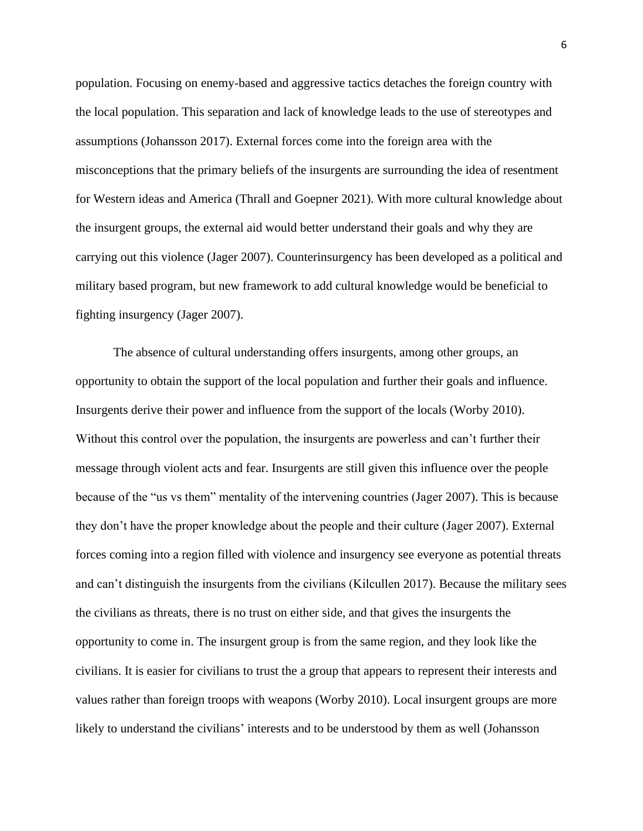population. Focusing on enemy-based and aggressive tactics detaches the foreign country with the local population. This separation and lack of knowledge leads to the use of stereotypes and assumptions (Johansson 2017). External forces come into the foreign area with the misconceptions that the primary beliefs of the insurgents are surrounding the idea of resentment for Western ideas and America (Thrall and Goepner 2021). With more cultural knowledge about the insurgent groups, the external aid would better understand their goals and why they are carrying out this violence (Jager 2007). Counterinsurgency has been developed as a political and military based program, but new framework to add cultural knowledge would be beneficial to fighting insurgency (Jager 2007).

The absence of cultural understanding offers insurgents, among other groups, an opportunity to obtain the support of the local population and further their goals and influence. Insurgents derive their power and influence from the support of the locals (Worby 2010). Without this control over the population, the insurgents are powerless and can't further their message through violent acts and fear. Insurgents are still given this influence over the people because of the "us vs them" mentality of the intervening countries (Jager 2007). This is because they don't have the proper knowledge about the people and their culture (Jager 2007). External forces coming into a region filled with violence and insurgency see everyone as potential threats and can't distinguish the insurgents from the civilians (Kilcullen 2017). Because the military sees the civilians as threats, there is no trust on either side, and that gives the insurgents the opportunity to come in. The insurgent group is from the same region, and they look like the civilians. It is easier for civilians to trust the a group that appears to represent their interests and values rather than foreign troops with weapons (Worby 2010). Local insurgent groups are more likely to understand the civilians' interests and to be understood by them as well (Johansson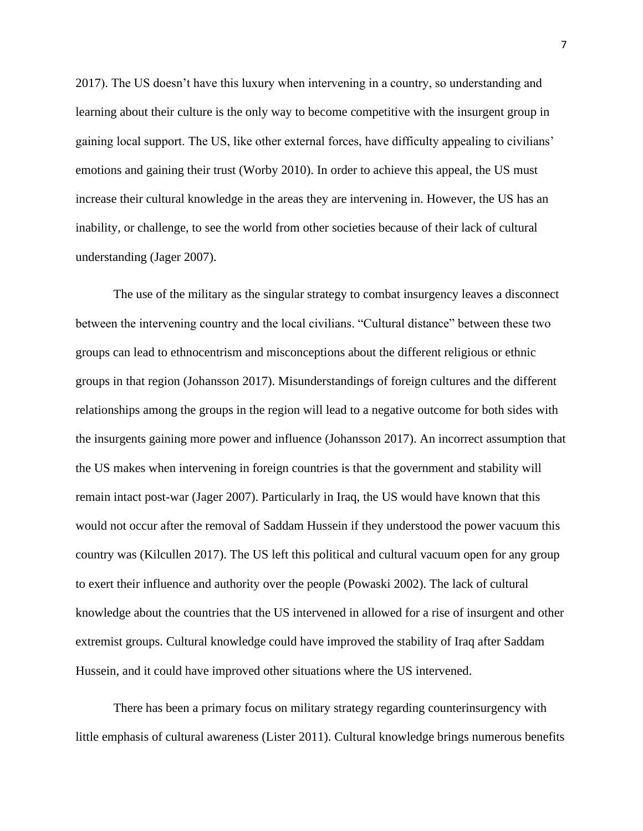2017). The US doesn't have this luxury when intervening in a country, so understanding and learning about their culture is the only way to become competitive with the insurgent group in gaining local support. The US, like other external forces, have difficulty appealing to civilians' emotions and gaining their trust (Worby 2010). In order to achieve this appeal, the US must increase their cultural knowledge in the areas they are intervening in. However, the US has an inability, or challenge, to see the world from other societies because of their lack of cultural understanding (Jager 2007).

The use of the military as the singular strategy to combat insurgency leaves a disconnect between the intervening country and the local civilians. "Cultural distance" between these two groups can lead to ethnocentrism and misconceptions about the different religious or ethnic groups in that region (Johansson 2017). Misunderstandings of foreign cultures and the different relationships among the groups in the region will lead to a negative outcome for both sides with the insurgents gaining more power and influence (Johansson 2017). An incorrect assumption that the US makes when intervening in foreign countries is that the government and stability will remain intact post-war (Jager 2007). Particularly in Iraq, the US would have known that this would not occur after the removal of Saddam Hussein if they understood the power vacuum this country was (Kilcullen 2017). The US left this political and cultural vacuum open for any group to exert their influence and authority over the people (Powaski 2002). The lack of cultural knowledge about the countries that the US intervened in allowed for a rise of insurgent and other extremist groups. Cultural knowledge could have improved the stability of Iraq after Saddam Hussein, and it could have improved other situations where the US intervened.

There has been a primary focus on military strategy regarding counterinsurgency with little emphasis of cultural awareness (Lister 2011). Cultural knowledge brings numerous benefits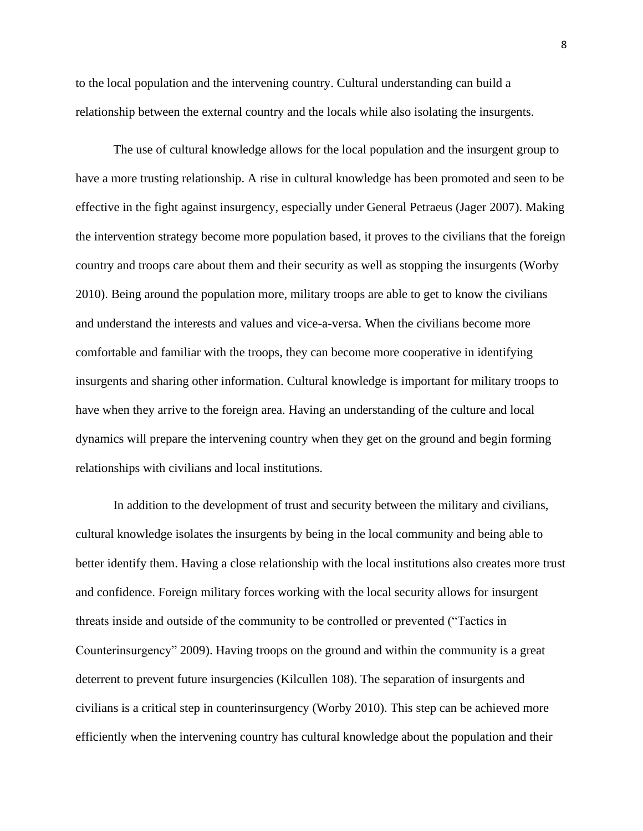to the local population and the intervening country. Cultural understanding can build a relationship between the external country and the locals while also isolating the insurgents.

The use of cultural knowledge allows for the local population and the insurgent group to have a more trusting relationship. A rise in cultural knowledge has been promoted and seen to be effective in the fight against insurgency, especially under General Petraeus (Jager 2007). Making the intervention strategy become more population based, it proves to the civilians that the foreign country and troops care about them and their security as well as stopping the insurgents (Worby 2010). Being around the population more, military troops are able to get to know the civilians and understand the interests and values and vice-a-versa. When the civilians become more comfortable and familiar with the troops, they can become more cooperative in identifying insurgents and sharing other information. Cultural knowledge is important for military troops to have when they arrive to the foreign area. Having an understanding of the culture and local dynamics will prepare the intervening country when they get on the ground and begin forming relationships with civilians and local institutions.

In addition to the development of trust and security between the military and civilians, cultural knowledge isolates the insurgents by being in the local community and being able to better identify them. Having a close relationship with the local institutions also creates more trust and confidence. Foreign military forces working with the local security allows for insurgent threats inside and outside of the community to be controlled or prevented ("Tactics in Counterinsurgency" 2009). Having troops on the ground and within the community is a great deterrent to prevent future insurgencies (Kilcullen 108). The separation of insurgents and civilians is a critical step in counterinsurgency (Worby 2010). This step can be achieved more efficiently when the intervening country has cultural knowledge about the population and their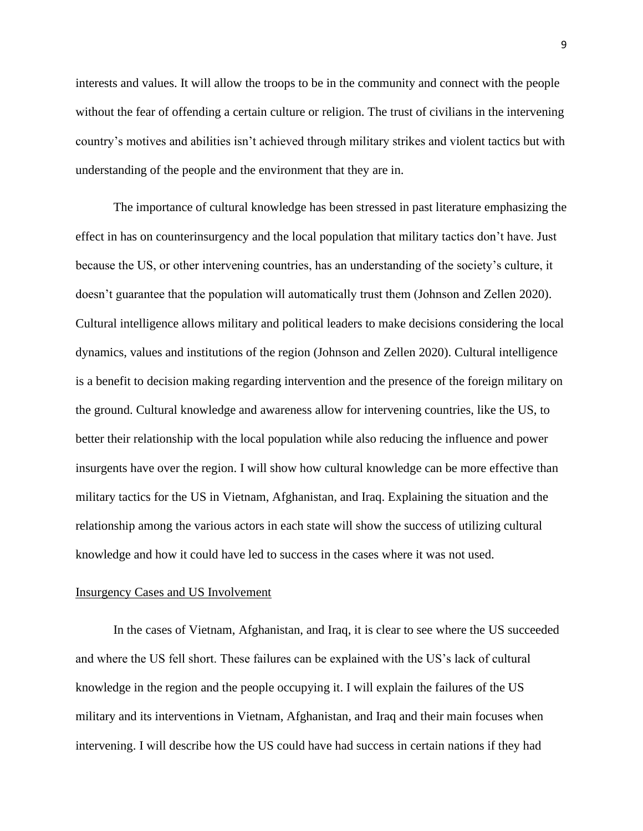interests and values. It will allow the troops to be in the community and connect with the people without the fear of offending a certain culture or religion. The trust of civilians in the intervening country's motives and abilities isn't achieved through military strikes and violent tactics but with understanding of the people and the environment that they are in.

The importance of cultural knowledge has been stressed in past literature emphasizing the effect in has on counterinsurgency and the local population that military tactics don't have. Just because the US, or other intervening countries, has an understanding of the society's culture, it doesn't guarantee that the population will automatically trust them (Johnson and Zellen 2020). Cultural intelligence allows military and political leaders to make decisions considering the local dynamics, values and institutions of the region (Johnson and Zellen 2020). Cultural intelligence is a benefit to decision making regarding intervention and the presence of the foreign military on the ground. Cultural knowledge and awareness allow for intervening countries, like the US, to better their relationship with the local population while also reducing the influence and power insurgents have over the region. I will show how cultural knowledge can be more effective than military tactics for the US in Vietnam, Afghanistan, and Iraq. Explaining the situation and the relationship among the various actors in each state will show the success of utilizing cultural knowledge and how it could have led to success in the cases where it was not used.

#### Insurgency Cases and US Involvement

In the cases of Vietnam, Afghanistan, and Iraq, it is clear to see where the US succeeded and where the US fell short. These failures can be explained with the US's lack of cultural knowledge in the region and the people occupying it. I will explain the failures of the US military and its interventions in Vietnam, Afghanistan, and Iraq and their main focuses when intervening. I will describe how the US could have had success in certain nations if they had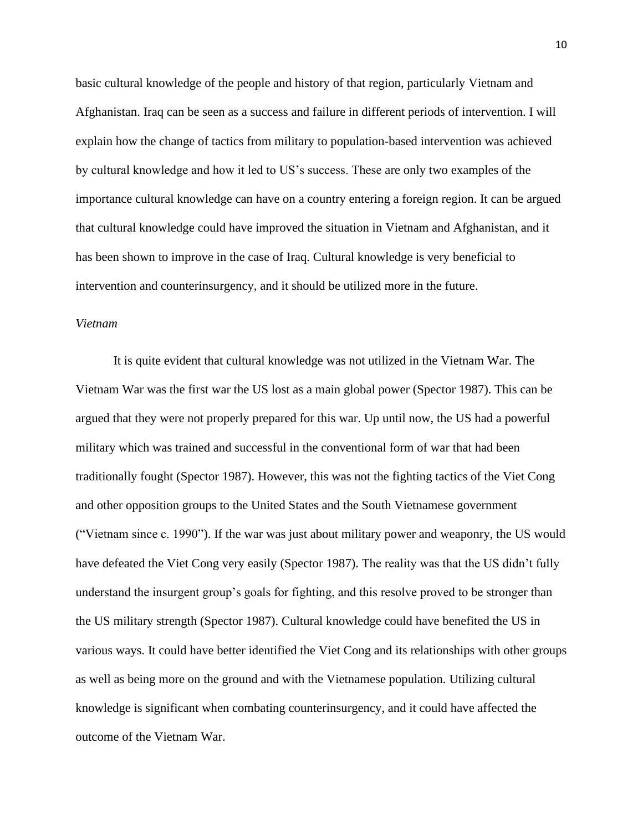basic cultural knowledge of the people and history of that region, particularly Vietnam and Afghanistan. Iraq can be seen as a success and failure in different periods of intervention. I will explain how the change of tactics from military to population-based intervention was achieved by cultural knowledge and how it led to US's success. These are only two examples of the importance cultural knowledge can have on a country entering a foreign region. It can be argued that cultural knowledge could have improved the situation in Vietnam and Afghanistan, and it has been shown to improve in the case of Iraq. Cultural knowledge is very beneficial to intervention and counterinsurgency, and it should be utilized more in the future.

# *Vietnam*

It is quite evident that cultural knowledge was not utilized in the Vietnam War. The Vietnam War was the first war the US lost as a main global power (Spector 1987). This can be argued that they were not properly prepared for this war. Up until now, the US had a powerful military which was trained and successful in the conventional form of war that had been traditionally fought (Spector 1987). However, this was not the fighting tactics of the Viet Cong and other opposition groups to the United States and the South Vietnamese government ("Vietnam since c. 1990"). If the war was just about military power and weaponry, the US would have defeated the Viet Cong very easily (Spector 1987). The reality was that the US didn't fully understand the insurgent group's goals for fighting, and this resolve proved to be stronger than the US military strength (Spector 1987). Cultural knowledge could have benefited the US in various ways. It could have better identified the Viet Cong and its relationships with other groups as well as being more on the ground and with the Vietnamese population. Utilizing cultural knowledge is significant when combating counterinsurgency, and it could have affected the outcome of the Vietnam War.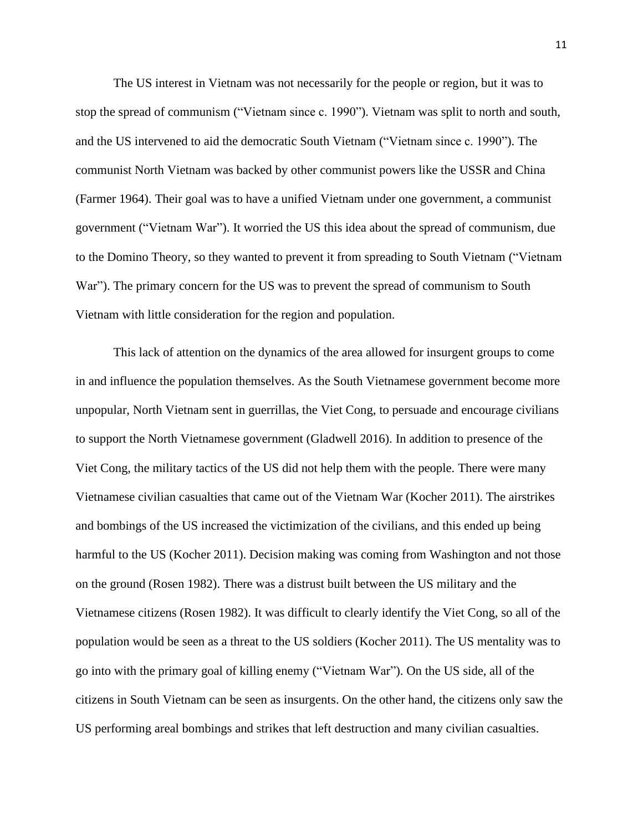The US interest in Vietnam was not necessarily for the people or region, but it was to stop the spread of communism ("Vietnam since c. 1990"). Vietnam was split to north and south, and the US intervened to aid the democratic South Vietnam ("Vietnam since c. 1990"). The communist North Vietnam was backed by other communist powers like the USSR and China (Farmer 1964). Their goal was to have a unified Vietnam under one government, a communist government ("Vietnam War"). It worried the US this idea about the spread of communism, due to the Domino Theory, so they wanted to prevent it from spreading to South Vietnam ("Vietnam War"). The primary concern for the US was to prevent the spread of communism to South Vietnam with little consideration for the region and population.

This lack of attention on the dynamics of the area allowed for insurgent groups to come in and influence the population themselves. As the South Vietnamese government become more unpopular, North Vietnam sent in guerrillas, the Viet Cong, to persuade and encourage civilians to support the North Vietnamese government (Gladwell 2016). In addition to presence of the Viet Cong, the military tactics of the US did not help them with the people. There were many Vietnamese civilian casualties that came out of the Vietnam War (Kocher 2011). The airstrikes and bombings of the US increased the victimization of the civilians, and this ended up being harmful to the US (Kocher 2011). Decision making was coming from Washington and not those on the ground (Rosen 1982). There was a distrust built between the US military and the Vietnamese citizens (Rosen 1982). It was difficult to clearly identify the Viet Cong, so all of the population would be seen as a threat to the US soldiers (Kocher 2011). The US mentality was to go into with the primary goal of killing enemy ("Vietnam War"). On the US side, all of the citizens in South Vietnam can be seen as insurgents. On the other hand, the citizens only saw the US performing areal bombings and strikes that left destruction and many civilian casualties.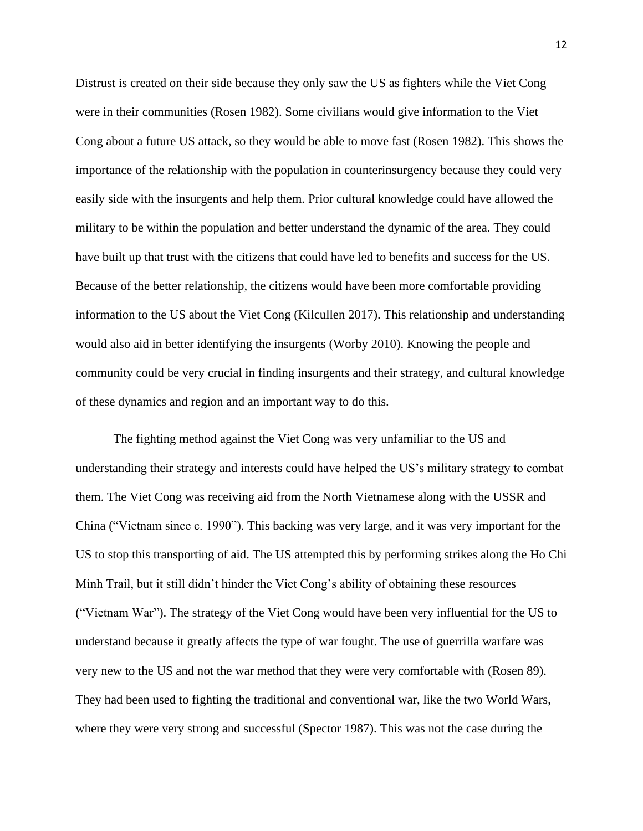Distrust is created on their side because they only saw the US as fighters while the Viet Cong were in their communities (Rosen 1982). Some civilians would give information to the Viet Cong about a future US attack, so they would be able to move fast (Rosen 1982). This shows the importance of the relationship with the population in counterinsurgency because they could very easily side with the insurgents and help them. Prior cultural knowledge could have allowed the military to be within the population and better understand the dynamic of the area. They could have built up that trust with the citizens that could have led to benefits and success for the US. Because of the better relationship, the citizens would have been more comfortable providing information to the US about the Viet Cong (Kilcullen 2017). This relationship and understanding would also aid in better identifying the insurgents (Worby 2010). Knowing the people and community could be very crucial in finding insurgents and their strategy, and cultural knowledge of these dynamics and region and an important way to do this.

The fighting method against the Viet Cong was very unfamiliar to the US and understanding their strategy and interests could have helped the US's military strategy to combat them. The Viet Cong was receiving aid from the North Vietnamese along with the USSR and China ("Vietnam since c. 1990"). This backing was very large, and it was very important for the US to stop this transporting of aid. The US attempted this by performing strikes along the Ho Chi Minh Trail, but it still didn't hinder the Viet Cong's ability of obtaining these resources ("Vietnam War"). The strategy of the Viet Cong would have been very influential for the US to understand because it greatly affects the type of war fought. The use of guerrilla warfare was very new to the US and not the war method that they were very comfortable with (Rosen 89). They had been used to fighting the traditional and conventional war, like the two World Wars, where they were very strong and successful (Spector 1987). This was not the case during the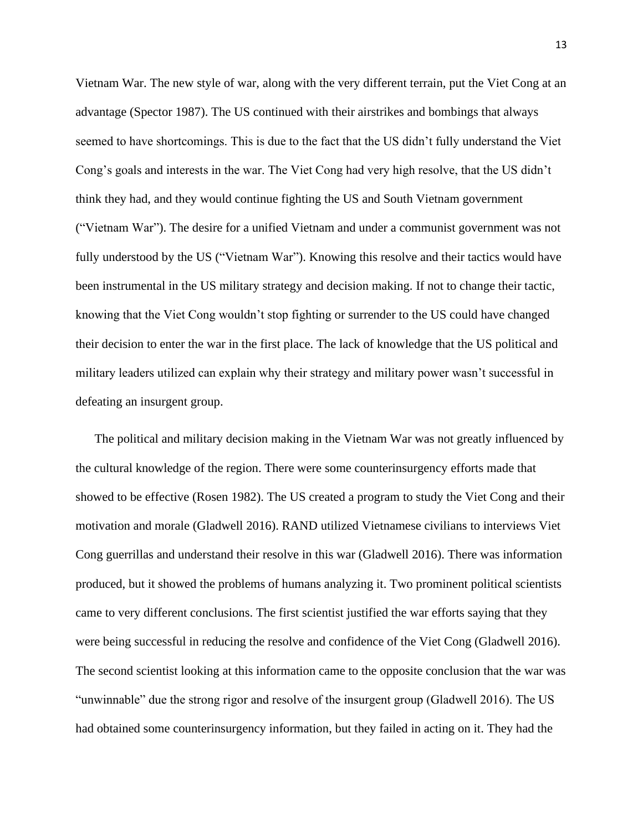Vietnam War. The new style of war, along with the very different terrain, put the Viet Cong at an advantage (Spector 1987). The US continued with their airstrikes and bombings that always seemed to have shortcomings. This is due to the fact that the US didn't fully understand the Viet Cong's goals and interests in the war. The Viet Cong had very high resolve, that the US didn't think they had, and they would continue fighting the US and South Vietnam government ("Vietnam War"). The desire for a unified Vietnam and under a communist government was not fully understood by the US ("Vietnam War"). Knowing this resolve and their tactics would have been instrumental in the US military strategy and decision making. If not to change their tactic, knowing that the Viet Cong wouldn't stop fighting or surrender to the US could have changed their decision to enter the war in the first place. The lack of knowledge that the US political and military leaders utilized can explain why their strategy and military power wasn't successful in defeating an insurgent group.

The political and military decision making in the Vietnam War was not greatly influenced by the cultural knowledge of the region. There were some counterinsurgency efforts made that showed to be effective (Rosen 1982). The US created a program to study the Viet Cong and their motivation and morale (Gladwell 2016). RAND utilized Vietnamese civilians to interviews Viet Cong guerrillas and understand their resolve in this war (Gladwell 2016). There was information produced, but it showed the problems of humans analyzing it. Two prominent political scientists came to very different conclusions. The first scientist justified the war efforts saying that they were being successful in reducing the resolve and confidence of the Viet Cong (Gladwell 2016). The second scientist looking at this information came to the opposite conclusion that the war was "unwinnable" due the strong rigor and resolve of the insurgent group (Gladwell 2016). The US had obtained some counterinsurgency information, but they failed in acting on it. They had the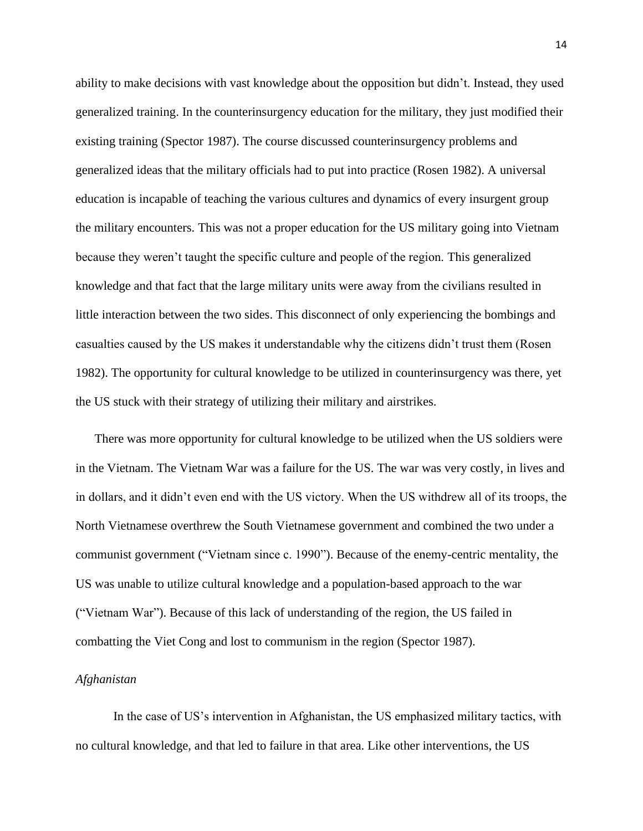ability to make decisions with vast knowledge about the opposition but didn't. Instead, they used generalized training. In the counterinsurgency education for the military, they just modified their existing training (Spector 1987). The course discussed counterinsurgency problems and generalized ideas that the military officials had to put into practice (Rosen 1982). A universal education is incapable of teaching the various cultures and dynamics of every insurgent group the military encounters. This was not a proper education for the US military going into Vietnam because they weren't taught the specific culture and people of the region. This generalized knowledge and that fact that the large military units were away from the civilians resulted in little interaction between the two sides. This disconnect of only experiencing the bombings and casualties caused by the US makes it understandable why the citizens didn't trust them (Rosen 1982). The opportunity for cultural knowledge to be utilized in counterinsurgency was there, yet the US stuck with their strategy of utilizing their military and airstrikes.

There was more opportunity for cultural knowledge to be utilized when the US soldiers were in the Vietnam. The Vietnam War was a failure for the US. The war was very costly, in lives and in dollars, and it didn't even end with the US victory. When the US withdrew all of its troops, the North Vietnamese overthrew the South Vietnamese government and combined the two under a communist government ("Vietnam since c. 1990"). Because of the enemy-centric mentality, the US was unable to utilize cultural knowledge and a population-based approach to the war ("Vietnam War"). Because of this lack of understanding of the region, the US failed in combatting the Viet Cong and lost to communism in the region (Spector 1987).

## *Afghanistan*

In the case of US's intervention in Afghanistan, the US emphasized military tactics, with no cultural knowledge, and that led to failure in that area. Like other interventions, the US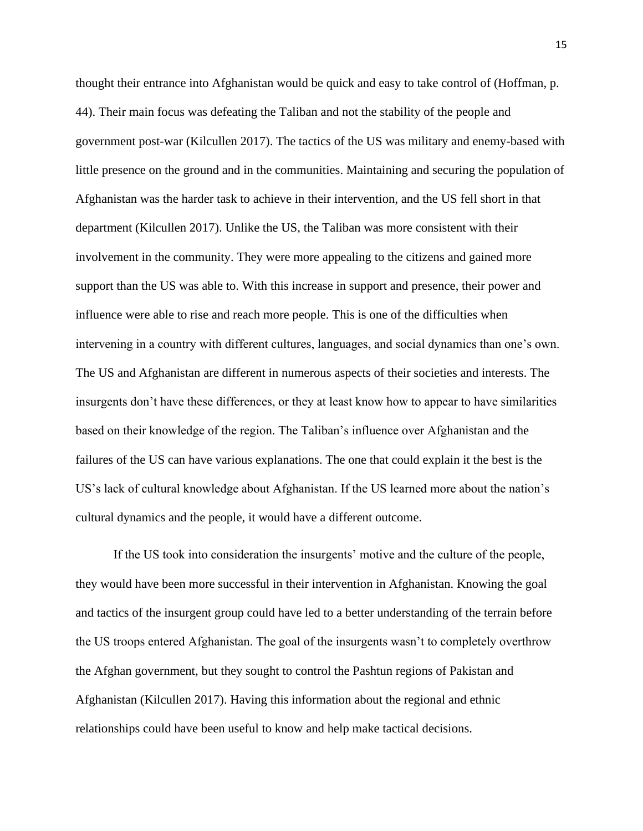thought their entrance into Afghanistan would be quick and easy to take control of (Hoffman, p. 44). Their main focus was defeating the Taliban and not the stability of the people and government post-war (Kilcullen 2017). The tactics of the US was military and enemy-based with little presence on the ground and in the communities. Maintaining and securing the population of Afghanistan was the harder task to achieve in their intervention, and the US fell short in that department (Kilcullen 2017). Unlike the US, the Taliban was more consistent with their involvement in the community. They were more appealing to the citizens and gained more support than the US was able to. With this increase in support and presence, their power and influence were able to rise and reach more people. This is one of the difficulties when intervening in a country with different cultures, languages, and social dynamics than one's own. The US and Afghanistan are different in numerous aspects of their societies and interests. The insurgents don't have these differences, or they at least know how to appear to have similarities based on their knowledge of the region. The Taliban's influence over Afghanistan and the failures of the US can have various explanations. The one that could explain it the best is the US's lack of cultural knowledge about Afghanistan. If the US learned more about the nation's cultural dynamics and the people, it would have a different outcome.

If the US took into consideration the insurgents' motive and the culture of the people, they would have been more successful in their intervention in Afghanistan. Knowing the goal and tactics of the insurgent group could have led to a better understanding of the terrain before the US troops entered Afghanistan. The goal of the insurgents wasn't to completely overthrow the Afghan government, but they sought to control the Pashtun regions of Pakistan and Afghanistan (Kilcullen 2017). Having this information about the regional and ethnic relationships could have been useful to know and help make tactical decisions.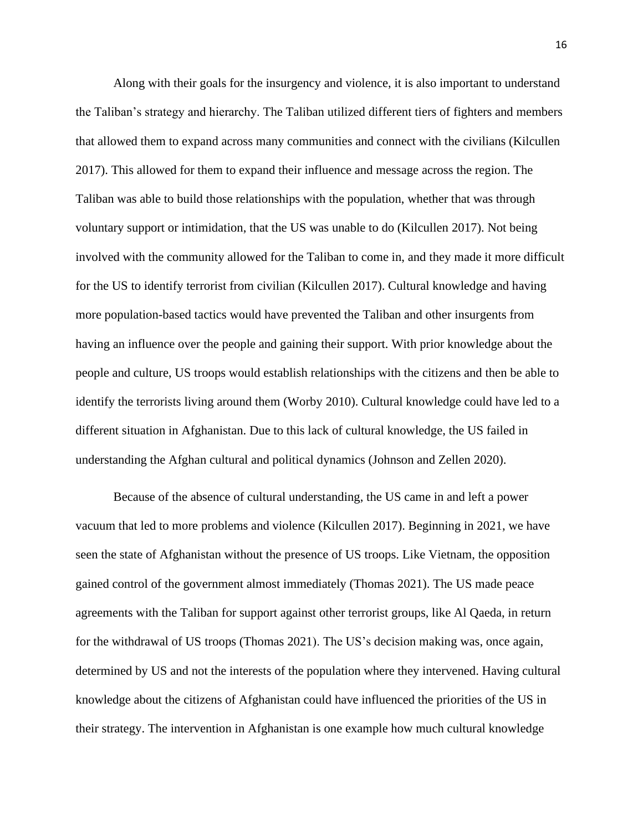Along with their goals for the insurgency and violence, it is also important to understand the Taliban's strategy and hierarchy. The Taliban utilized different tiers of fighters and members that allowed them to expand across many communities and connect with the civilians (Kilcullen 2017). This allowed for them to expand their influence and message across the region. The Taliban was able to build those relationships with the population, whether that was through voluntary support or intimidation, that the US was unable to do (Kilcullen 2017). Not being involved with the community allowed for the Taliban to come in, and they made it more difficult for the US to identify terrorist from civilian (Kilcullen 2017). Cultural knowledge and having more population-based tactics would have prevented the Taliban and other insurgents from having an influence over the people and gaining their support. With prior knowledge about the people and culture, US troops would establish relationships with the citizens and then be able to identify the terrorists living around them (Worby 2010). Cultural knowledge could have led to a different situation in Afghanistan. Due to this lack of cultural knowledge, the US failed in understanding the Afghan cultural and political dynamics (Johnson and Zellen 2020).

Because of the absence of cultural understanding, the US came in and left a power vacuum that led to more problems and violence (Kilcullen 2017). Beginning in 2021, we have seen the state of Afghanistan without the presence of US troops. Like Vietnam, the opposition gained control of the government almost immediately (Thomas 2021). The US made peace agreements with the Taliban for support against other terrorist groups, like Al Qaeda, in return for the withdrawal of US troops (Thomas 2021). The US's decision making was, once again, determined by US and not the interests of the population where they intervened. Having cultural knowledge about the citizens of Afghanistan could have influenced the priorities of the US in their strategy. The intervention in Afghanistan is one example how much cultural knowledge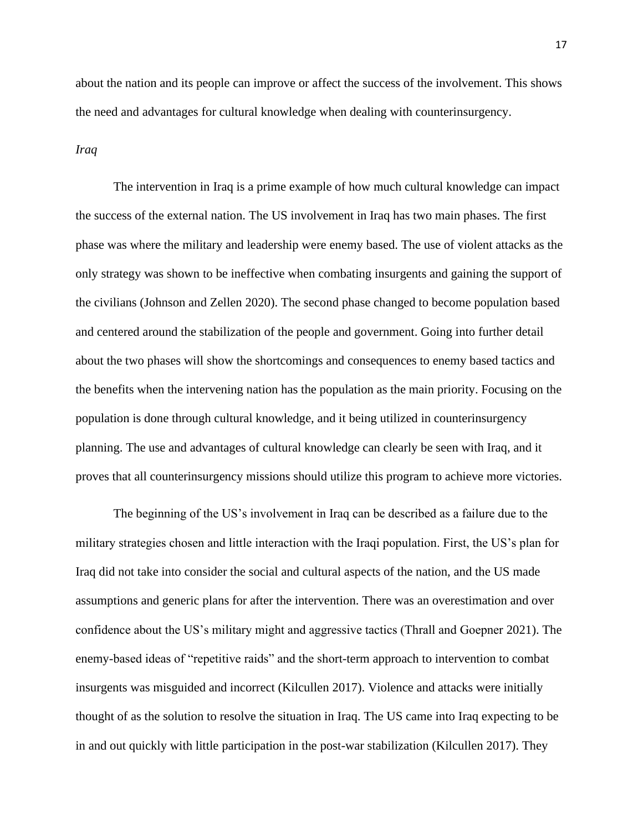about the nation and its people can improve or affect the success of the involvement. This shows the need and advantages for cultural knowledge when dealing with counterinsurgency.

## *Iraq*

The intervention in Iraq is a prime example of how much cultural knowledge can impact the success of the external nation. The US involvement in Iraq has two main phases. The first phase was where the military and leadership were enemy based. The use of violent attacks as the only strategy was shown to be ineffective when combating insurgents and gaining the support of the civilians (Johnson and Zellen 2020). The second phase changed to become population based and centered around the stabilization of the people and government. Going into further detail about the two phases will show the shortcomings and consequences to enemy based tactics and the benefits when the intervening nation has the population as the main priority. Focusing on the population is done through cultural knowledge, and it being utilized in counterinsurgency planning. The use and advantages of cultural knowledge can clearly be seen with Iraq, and it proves that all counterinsurgency missions should utilize this program to achieve more victories.

The beginning of the US's involvement in Iraq can be described as a failure due to the military strategies chosen and little interaction with the Iraqi population. First, the US's plan for Iraq did not take into consider the social and cultural aspects of the nation, and the US made assumptions and generic plans for after the intervention. There was an overestimation and over confidence about the US's military might and aggressive tactics (Thrall and Goepner 2021). The enemy-based ideas of "repetitive raids" and the short-term approach to intervention to combat insurgents was misguided and incorrect (Kilcullen 2017). Violence and attacks were initially thought of as the solution to resolve the situation in Iraq. The US came into Iraq expecting to be in and out quickly with little participation in the post-war stabilization (Kilcullen 2017). They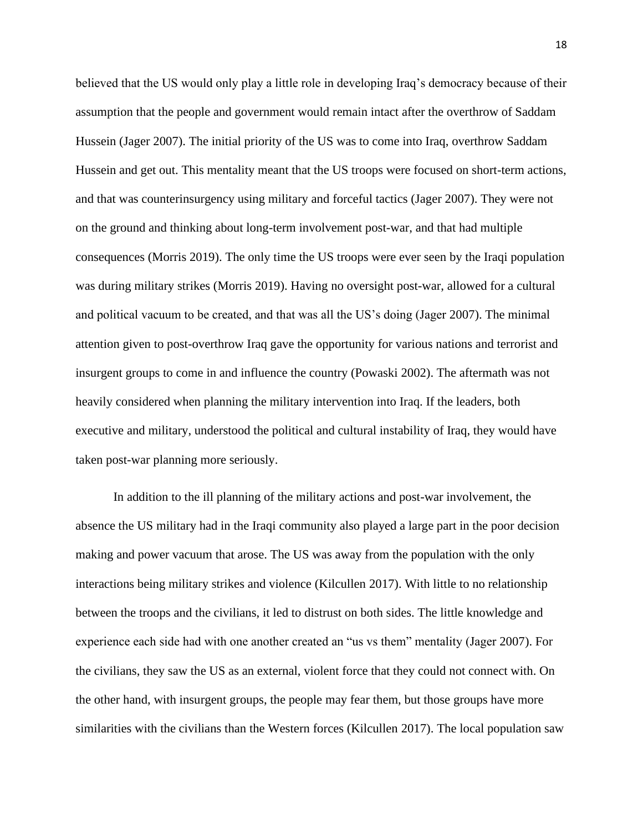believed that the US would only play a little role in developing Iraq's democracy because of their assumption that the people and government would remain intact after the overthrow of Saddam Hussein (Jager 2007). The initial priority of the US was to come into Iraq, overthrow Saddam Hussein and get out. This mentality meant that the US troops were focused on short-term actions, and that was counterinsurgency using military and forceful tactics (Jager 2007). They were not on the ground and thinking about long-term involvement post-war, and that had multiple consequences (Morris 2019). The only time the US troops were ever seen by the Iraqi population was during military strikes (Morris 2019). Having no oversight post-war, allowed for a cultural and political vacuum to be created, and that was all the US's doing (Jager 2007). The minimal attention given to post-overthrow Iraq gave the opportunity for various nations and terrorist and insurgent groups to come in and influence the country (Powaski 2002). The aftermath was not heavily considered when planning the military intervention into Iraq. If the leaders, both executive and military, understood the political and cultural instability of Iraq, they would have taken post-war planning more seriously.

In addition to the ill planning of the military actions and post-war involvement, the absence the US military had in the Iraqi community also played a large part in the poor decision making and power vacuum that arose. The US was away from the population with the only interactions being military strikes and violence (Kilcullen 2017). With little to no relationship between the troops and the civilians, it led to distrust on both sides. The little knowledge and experience each side had with one another created an "us vs them" mentality (Jager 2007). For the civilians, they saw the US as an external, violent force that they could not connect with. On the other hand, with insurgent groups, the people may fear them, but those groups have more similarities with the civilians than the Western forces (Kilcullen 2017). The local population saw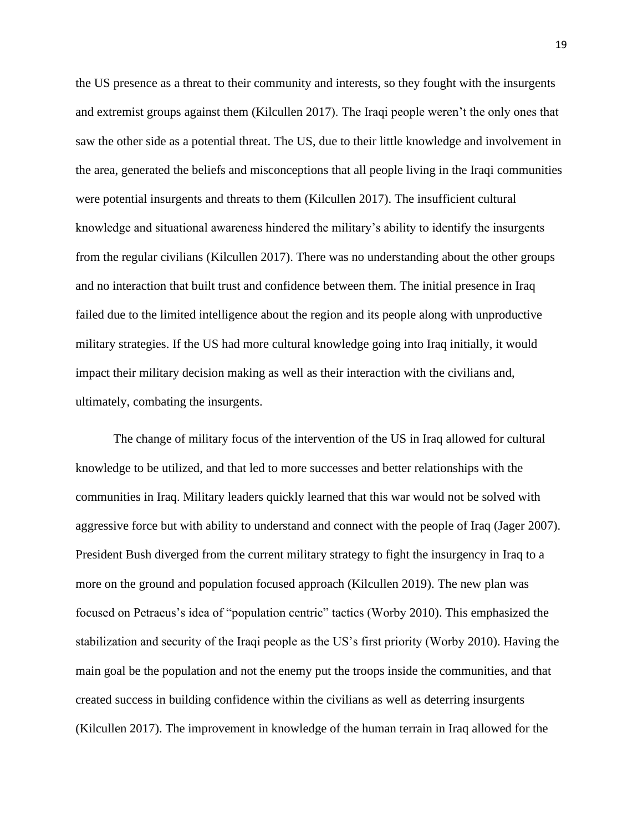the US presence as a threat to their community and interests, so they fought with the insurgents and extremist groups against them (Kilcullen 2017). The Iraqi people weren't the only ones that saw the other side as a potential threat. The US, due to their little knowledge and involvement in the area, generated the beliefs and misconceptions that all people living in the Iraqi communities were potential insurgents and threats to them (Kilcullen 2017). The insufficient cultural knowledge and situational awareness hindered the military's ability to identify the insurgents from the regular civilians (Kilcullen 2017). There was no understanding about the other groups and no interaction that built trust and confidence between them. The initial presence in Iraq failed due to the limited intelligence about the region and its people along with unproductive military strategies. If the US had more cultural knowledge going into Iraq initially, it would impact their military decision making as well as their interaction with the civilians and, ultimately, combating the insurgents.

The change of military focus of the intervention of the US in Iraq allowed for cultural knowledge to be utilized, and that led to more successes and better relationships with the communities in Iraq. Military leaders quickly learned that this war would not be solved with aggressive force but with ability to understand and connect with the people of Iraq (Jager 2007). President Bush diverged from the current military strategy to fight the insurgency in Iraq to a more on the ground and population focused approach (Kilcullen 2019). The new plan was focused on Petraeus's idea of "population centric" tactics (Worby 2010). This emphasized the stabilization and security of the Iraqi people as the US's first priority (Worby 2010). Having the main goal be the population and not the enemy put the troops inside the communities, and that created success in building confidence within the civilians as well as deterring insurgents (Kilcullen 2017). The improvement in knowledge of the human terrain in Iraq allowed for the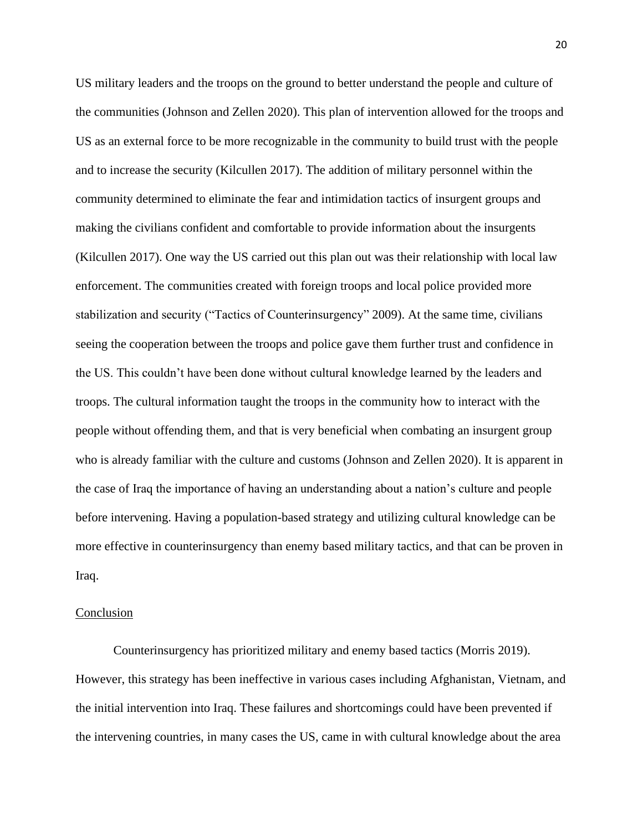US military leaders and the troops on the ground to better understand the people and culture of the communities (Johnson and Zellen 2020). This plan of intervention allowed for the troops and US as an external force to be more recognizable in the community to build trust with the people and to increase the security (Kilcullen 2017). The addition of military personnel within the community determined to eliminate the fear and intimidation tactics of insurgent groups and making the civilians confident and comfortable to provide information about the insurgents (Kilcullen 2017). One way the US carried out this plan out was their relationship with local law enforcement. The communities created with foreign troops and local police provided more stabilization and security ("Tactics of Counterinsurgency" 2009). At the same time, civilians seeing the cooperation between the troops and police gave them further trust and confidence in the US. This couldn't have been done without cultural knowledge learned by the leaders and troops. The cultural information taught the troops in the community how to interact with the people without offending them, and that is very beneficial when combating an insurgent group who is already familiar with the culture and customs (Johnson and Zellen 2020). It is apparent in the case of Iraq the importance of having an understanding about a nation's culture and people before intervening. Having a population-based strategy and utilizing cultural knowledge can be more effective in counterinsurgency than enemy based military tactics, and that can be proven in Iraq.

#### Conclusion

Counterinsurgency has prioritized military and enemy based tactics (Morris 2019). However, this strategy has been ineffective in various cases including Afghanistan, Vietnam, and the initial intervention into Iraq. These failures and shortcomings could have been prevented if the intervening countries, in many cases the US, came in with cultural knowledge about the area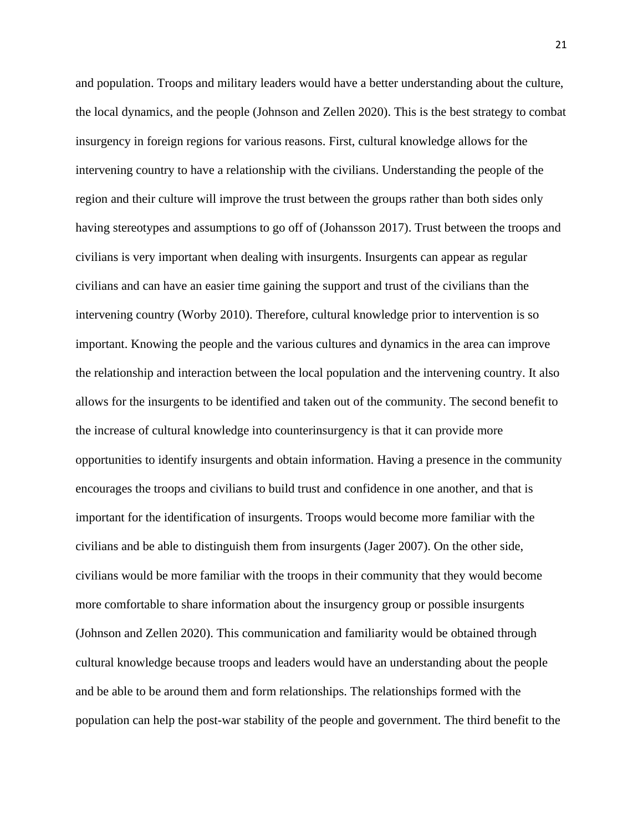and population. Troops and military leaders would have a better understanding about the culture, the local dynamics, and the people (Johnson and Zellen 2020). This is the best strategy to combat insurgency in foreign regions for various reasons. First, cultural knowledge allows for the intervening country to have a relationship with the civilians. Understanding the people of the region and their culture will improve the trust between the groups rather than both sides only having stereotypes and assumptions to go off of (Johansson 2017). Trust between the troops and civilians is very important when dealing with insurgents. Insurgents can appear as regular civilians and can have an easier time gaining the support and trust of the civilians than the intervening country (Worby 2010). Therefore, cultural knowledge prior to intervention is so important. Knowing the people and the various cultures and dynamics in the area can improve the relationship and interaction between the local population and the intervening country. It also allows for the insurgents to be identified and taken out of the community. The second benefit to the increase of cultural knowledge into counterinsurgency is that it can provide more opportunities to identify insurgents and obtain information. Having a presence in the community encourages the troops and civilians to build trust and confidence in one another, and that is important for the identification of insurgents. Troops would become more familiar with the civilians and be able to distinguish them from insurgents (Jager 2007). On the other side, civilians would be more familiar with the troops in their community that they would become more comfortable to share information about the insurgency group or possible insurgents (Johnson and Zellen 2020). This communication and familiarity would be obtained through cultural knowledge because troops and leaders would have an understanding about the people and be able to be around them and form relationships. The relationships formed with the population can help the post-war stability of the people and government. The third benefit to the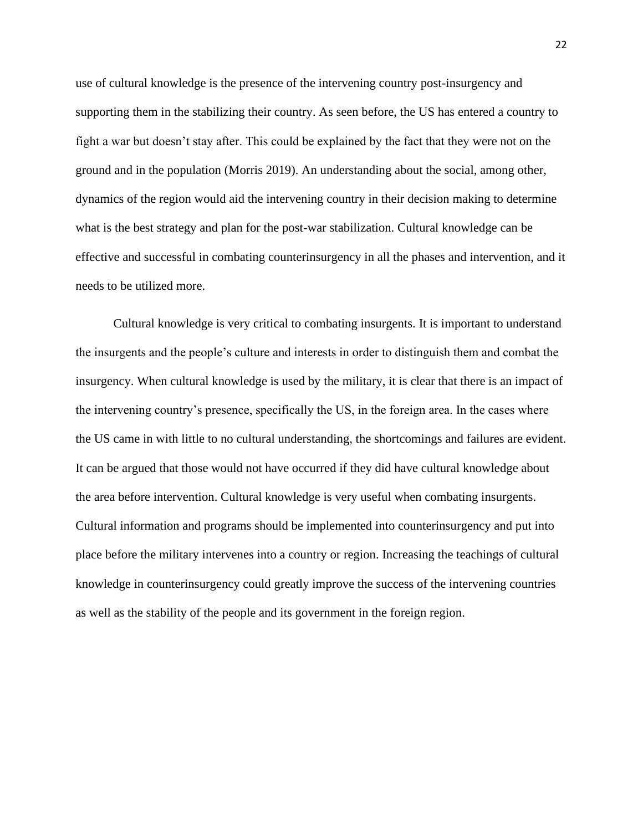use of cultural knowledge is the presence of the intervening country post-insurgency and supporting them in the stabilizing their country. As seen before, the US has entered a country to fight a war but doesn't stay after. This could be explained by the fact that they were not on the ground and in the population (Morris 2019). An understanding about the social, among other, dynamics of the region would aid the intervening country in their decision making to determine what is the best strategy and plan for the post-war stabilization. Cultural knowledge can be effective and successful in combating counterinsurgency in all the phases and intervention, and it needs to be utilized more.

Cultural knowledge is very critical to combating insurgents. It is important to understand the insurgents and the people's culture and interests in order to distinguish them and combat the insurgency. When cultural knowledge is used by the military, it is clear that there is an impact of the intervening country's presence, specifically the US, in the foreign area. In the cases where the US came in with little to no cultural understanding, the shortcomings and failures are evident. It can be argued that those would not have occurred if they did have cultural knowledge about the area before intervention. Cultural knowledge is very useful when combating insurgents. Cultural information and programs should be implemented into counterinsurgency and put into place before the military intervenes into a country or region. Increasing the teachings of cultural knowledge in counterinsurgency could greatly improve the success of the intervening countries as well as the stability of the people and its government in the foreign region.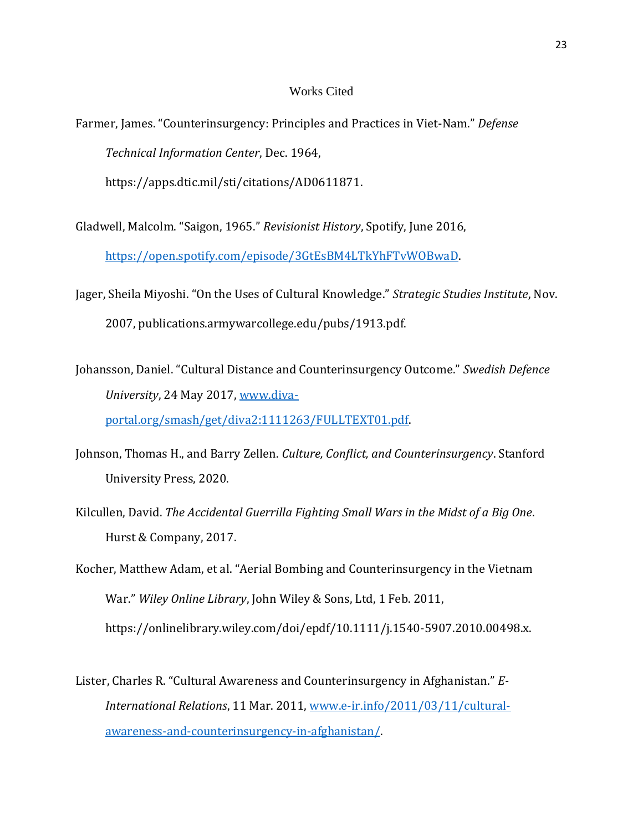### Works Cited

- Farmer, James. "Counterinsurgency: Principles and Practices in Viet-Nam." *Defense Technical Information Center*, Dec. 1964, https://apps.dtic.mil/sti/citations/AD0611871.
- Gladwell, Malcolm. "Saigon, 1965." *Revisionist History*, Spotify, June 2016, [https://open.spotify.com/episode/3GtEsBM4LTkYhFTvWOBwaD.](https://open.spotify.com/episode/3GtEsBM4LTkYhFTvWOBwaD)
- Jager, Sheila Miyoshi. "On the Uses of Cultural Knowledge." *Strategic Studies Institute*, Nov. 2007, publications.armywarcollege.edu/pubs/1913.pdf.
- Johansson, Daniel. "Cultural Distance and Counterinsurgency Outcome." *Swedish Defence University*, 24 May 2017, [www.diva](http://www.diva-portal.org/smash/get/diva2:1111263/FULLTEXT01.pdf)[portal.org/smash/get/diva2:1111263/FULLTEXT01.pdf.](http://www.diva-portal.org/smash/get/diva2:1111263/FULLTEXT01.pdf)
- Johnson, Thomas H., and Barry Zellen. *Culture, Conflict, and Counterinsurgency*. Stanford University Press, 2020.
- Kilcullen, David. *The Accidental Guerrilla Fighting Small Wars in the Midst of a Big One*. Hurst & Company, 2017.
- Kocher, Matthew Adam, et al. "Aerial Bombing and Counterinsurgency in the Vietnam War." *Wiley Online Library*, John Wiley & Sons, Ltd, 1 Feb. 2011, https://onlinelibrary.wiley.com/doi/epdf/10.1111/j.1540-5907.2010.00498.x.
- Lister, Charles R. "Cultural Awareness and Counterinsurgency in Afghanistan." *E-International Relations*, 11 Mar. 2011, www.e-ir.info/2011/03/11/culturalawareness-and-counterinsurgency-in-afghanistan/.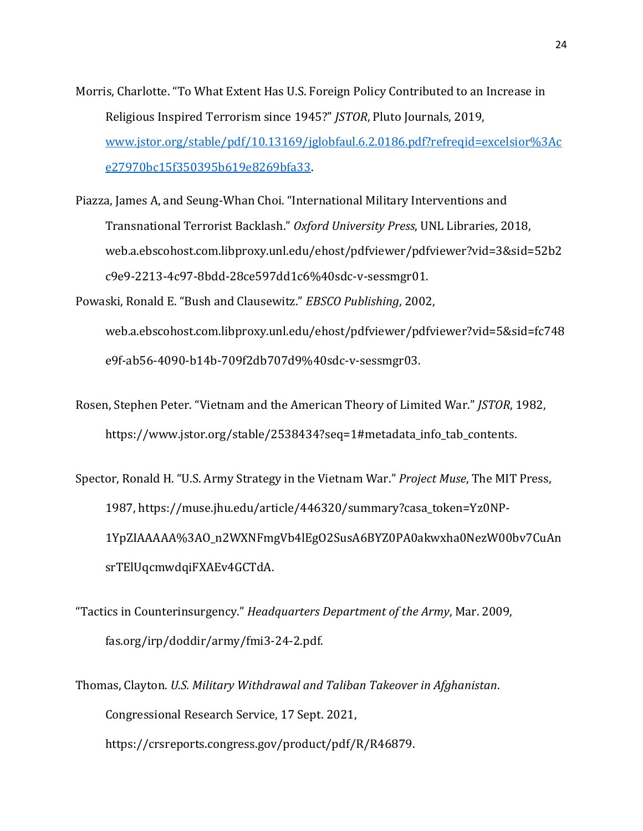- Morris, Charlotte. "To What Extent Has U.S. Foreign Policy Contributed to an Increase in Religious Inspired Terrorism since 1945?" *JSTOR*, Pluto Journals, 2019, www.jstor.org/stable/pdf/10.13169/jglobfaul.6.2.0186.pdf?refreqid=excelsior%3Ac e27970bc15f350395b619e8269bfa33.
- Piazza, James A, and Seung-Whan Choi. "International Military Interventions and Transnational Terrorist Backlash." *Oxford University Press*, UNL Libraries, 2018, web.a.ebscohost.com.libproxy.unl.edu/ehost/pdfviewer/pdfviewer?vid=3&sid=52b2 c9e9-2213-4c97-8bdd-28ce597dd1c6%40sdc-v-sessmgr01.
- Powaski, Ronald E. "Bush and Clausewitz." *EBSCO Publishing*, 2002, web.a.ebscohost.com.libproxy.unl.edu/ehost/pdfviewer/pdfviewer?vid=5&sid=fc748 e9f-ab56-4090-b14b-709f2db707d9%40sdc-v-sessmgr03.
- Rosen, Stephen Peter. "Vietnam and the American Theory of Limited War." *JSTOR*, 1982, https://www.jstor.org/stable/2538434?seq=1#metadata\_info\_tab\_contents.
- Spector, Ronald H. "U.S. Army Strategy in the Vietnam War." *Project Muse*, The MIT Press, 1987, https://muse.jhu.edu/article/446320/summary?casa\_token=Yz0NP-1YpZIAAAAA%3AO\_n2WXNFmgVb4lEgO2SusA6BYZ0PA0akwxha0NezW00bv7CuAn srTElUqcmwdqiFXAEv4GCTdA.
- "Tactics in Counterinsurgency." *Headquarters Department of the Army*, Mar. 2009, fas.org/irp/doddir/army/fmi3-24-2.pdf.
- Thomas, Clayton. *U.S. Military Withdrawal and Taliban Takeover in Afghanistan*. Congressional Research Service, 17 Sept. 2021, https://crsreports.congress.gov/product/pdf/R/R46879.